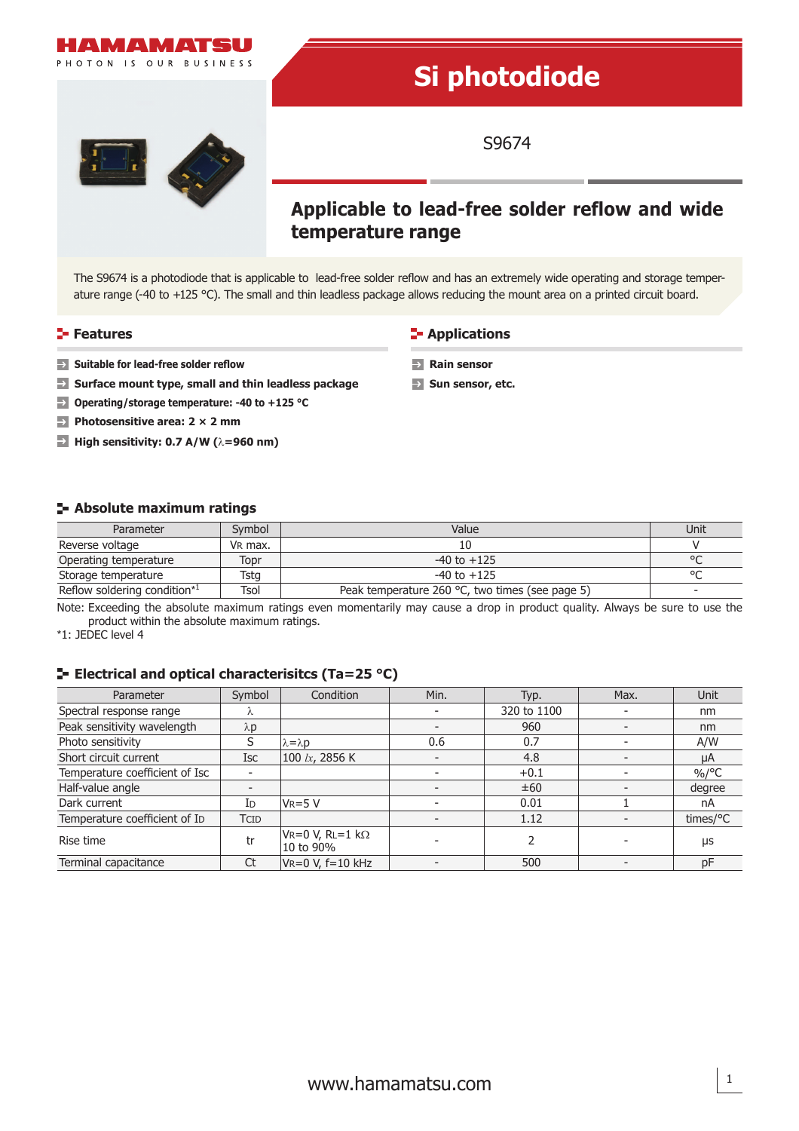

The S9674 is a photodiode that is applicable to lead-free solder reflow and has an extremely wide operating and storage temperature range (-40 to +125 °C). The small and thin leadless package allows reducing the mount area on a printed circuit board.

> **Rain sensor**  Sun sensor, etc.

#### **Features CONSIDERING THE EXAMPLE TO APPLICATIONS**

- **Buitable for lead-free solder reflow**
- **Surface mount type, small and thin leadless package**
- **Operating/storage temperature: -40 to +125 °C**
- **Photosensitive area: 2 × 2 mm**
- **High sensitivity: 0.7 A/W (**λ**=960 nm)**

## **Absolute maximum ratings**

| Parameter                    | Svmbol  | Value                                           | Unit    |
|------------------------------|---------|-------------------------------------------------|---------|
| Reverse voltage              | VR max. |                                                 |         |
| Operating temperature        | Topr    | $-40$ to $+125$                                 | $\circ$ |
| Storage temperature          | Гstа    | $-40$ to $+125$                                 | $\circ$ |
| Reflow soldering condition*1 | Tsol    | Peak temperature 260 °C, two times (see page 5) | -       |

Note: Exceeding the absolute maximum ratings even momentarily may cause a drop in product quality. Always be sure to use the product within the absolute maximum ratings.

\*1: JEDEC level 4

## **Electrical and optical characterisitcs (Ta=25 °C)**

| Parameter                      | Symbol      | Condition                              | Min. | Typ.        | Max. | Unit      |
|--------------------------------|-------------|----------------------------------------|------|-------------|------|-----------|
| Spectral response range        |             |                                        |      | 320 to 1100 |      | nm        |
| Peak sensitivity wavelength    | $\lambda p$ |                                        |      | 960         |      | nm        |
| Photo sensitivity              |             | $\lambda = \lambda p$                  | 0.6  | 0.7         |      | A/W       |
| Short circuit current          | <b>Isc</b>  | 100 $lx$ , 2856 K                      |      | 4.8         |      | μA        |
| Temperature coefficient of Isc |             |                                        |      | $+0.1$      |      | $\%$ /°C  |
| Half-value angle               |             |                                        |      | ±60         |      | degree    |
| Dark current                   | ID          | $V_R = 5 V$                            |      | 0.01        |      | nA        |
| Temperature coefficient of ID  | <b>TCID</b> |                                        |      | 1.12        |      | times/°C  |
| Rise time                      | tr          | $VR=0 V$ , $RL=1 k\Omega$<br>10 to 90% |      |             |      | <b>US</b> |
| Terminal capacitance           | Ct          | $VR=0 V, f=10 kHz$                     |      | 500         |      | рF        |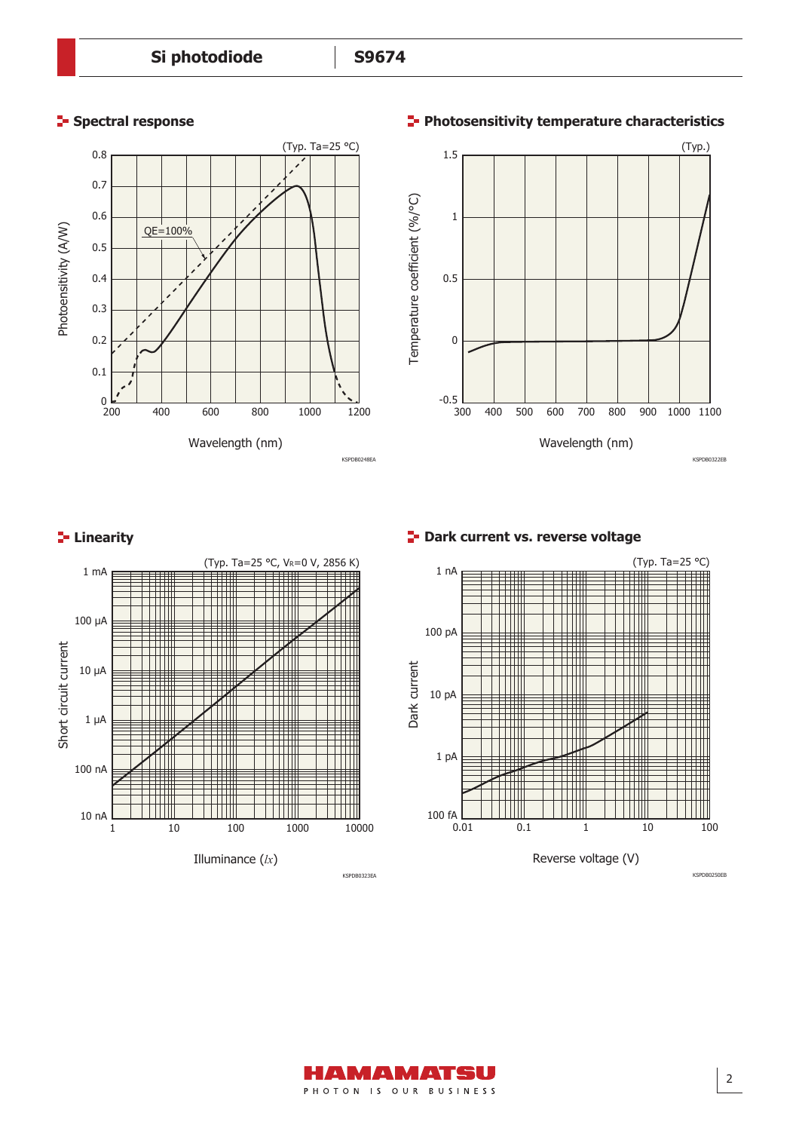

#### **Spectral response Photosensitivity temperature characteristics**



# **Linearity**



**Park current vs. reverse voltage** 



KSPDB0250EB

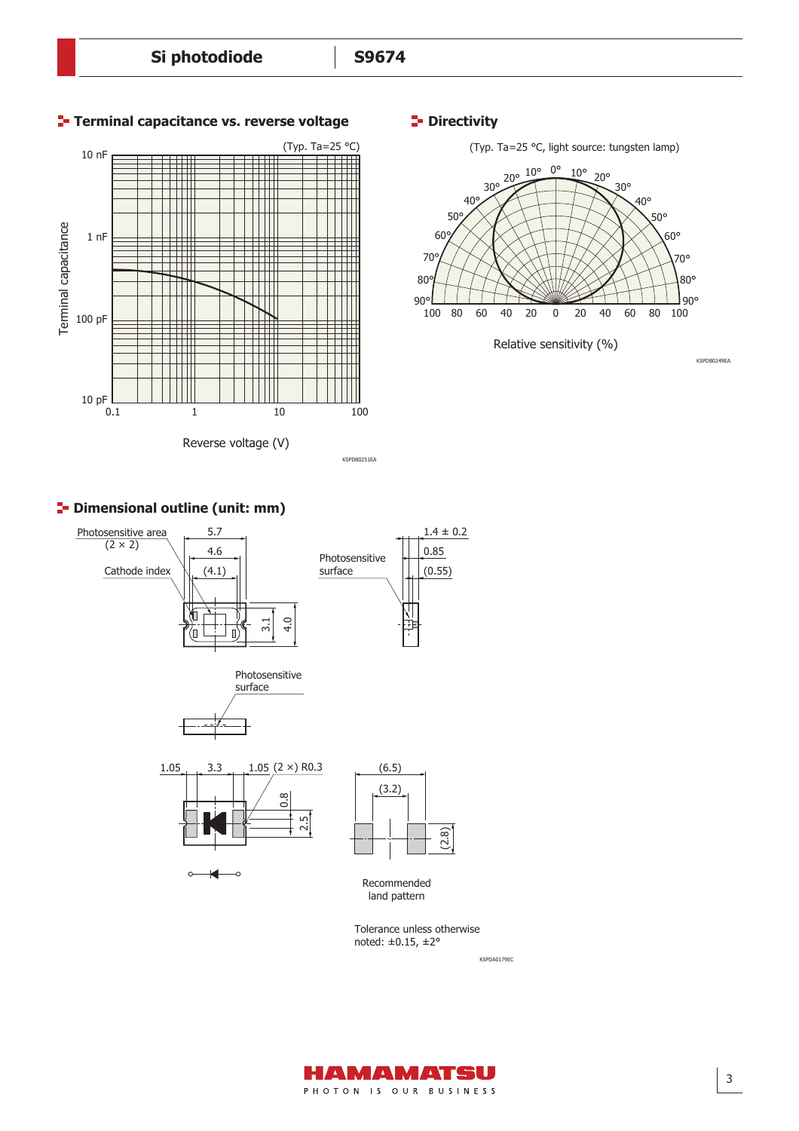

# **Directivity**



# **<sup>1</sup>** Dimensional outline (unit: mm)



Tolerance unless otherwise noted: ±0.15, ±2°

KSPDA0179EC

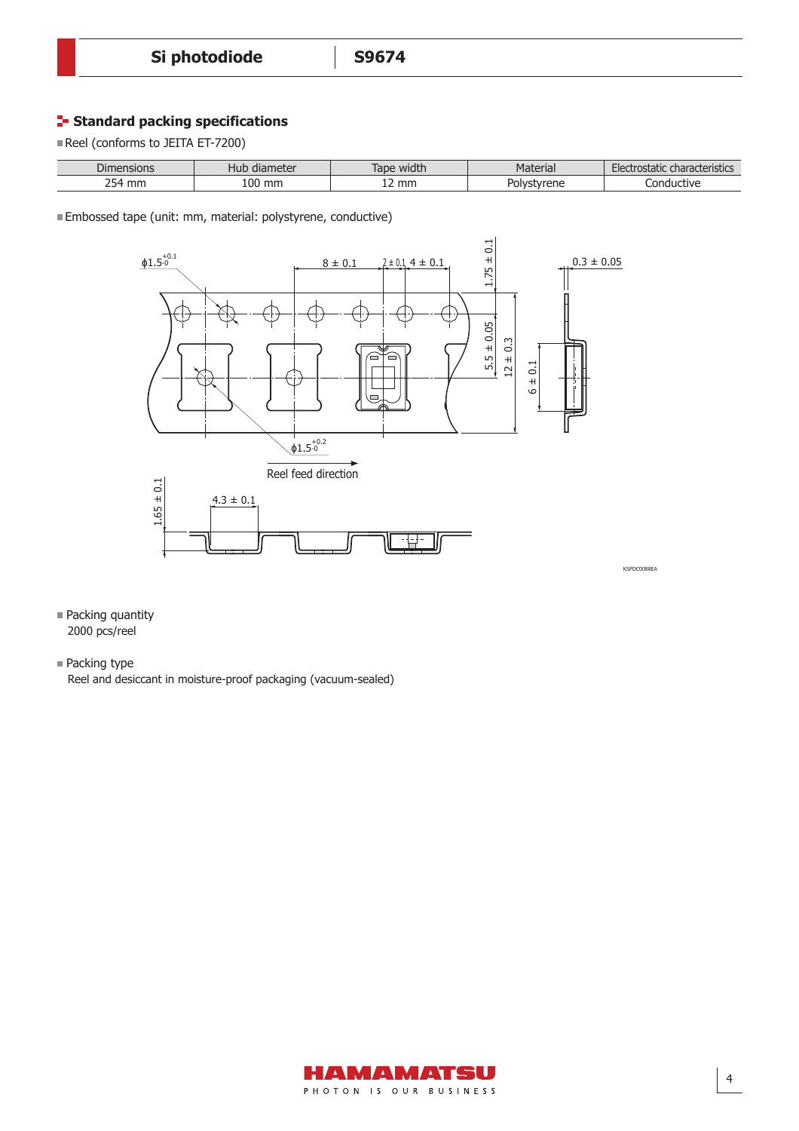# **Standard packing specifications**

Reel (conforms to JEITA ET-7200)

| $\sim$<br>$O$ IMF<br>nsions | שטד<br>uldilicler    | . .<br>ap<br>widtr | ena<br>æv | $\sim$ $\sim$<br>$H = H$<br>$\overline{\phantom{a}}$<br>teristics.<br>udidu.<br>аш<br>$\overline{\mathbf{r}}$ |
|-----------------------------|----------------------|--------------------|-----------|---------------------------------------------------------------------------------------------------------------|
| $\sim$ $-$<br>mn<br>57<br>ت | <sup>00</sup><br>mn. | mm<br>--           | vrene     | ictive<br><u>nnc</u>                                                                                          |

Embossed tape (unit: mm, material: polystyrene, conductive)



- Packing quantity 2000 pcs/reel
- Packing type Reel and desiccant in moisture-proof packaging (vacuum-sealed)